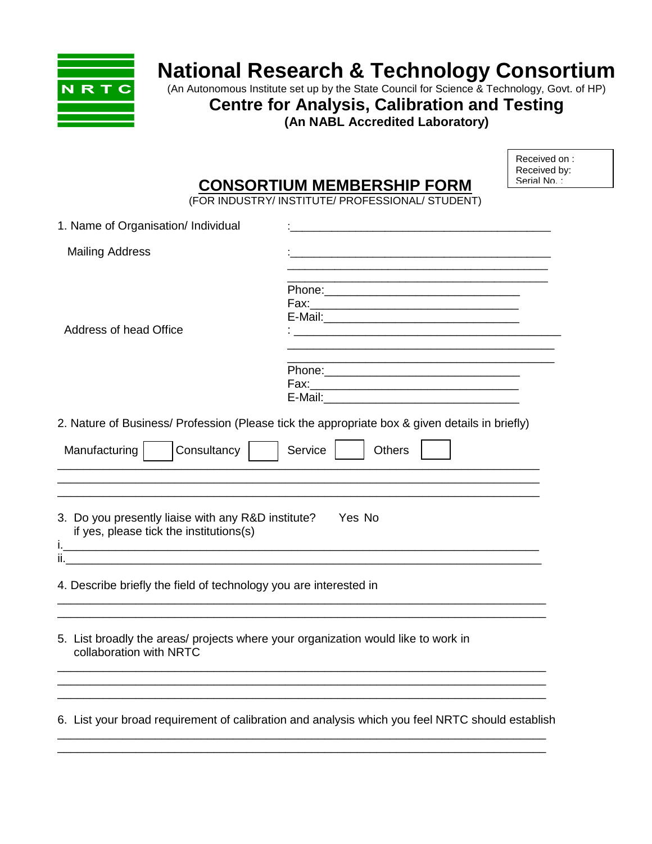

## **National Research & Technology Consortium**

(An Autonomous Institute set up by the State Council for Science & Technology, Govt. of HP)

**Centre for Analysis, Calibration and Testing** 

**(An NABL Accredited Laboratory)** 

|                                     | <b>CONSORTIUM MEMBERSHIP FORM</b>                | Received on:<br>Received by:<br>Serial No : |
|-------------------------------------|--------------------------------------------------|---------------------------------------------|
|                                     | (FOR INDUSTRY/ INSTITUTE/ PROFESSIONAL/ STUDENT) |                                             |
| 1. Name of Organisation/ Individual |                                                  |                                             |
| <b>Mailing Address</b>              |                                                  |                                             |
|                                     | Phone:                                           |                                             |
|                                     | Fax:                                             |                                             |

Address of head Office  $\overline{\phantom{a}}$ :

| Phone:  |  |
|---------|--|
| Fax:    |  |
| E-Mail: |  |
|         |  |

E-Mail:

2. Nature of Business/ Profession (Please tick the appropriate box & given details in briefly)

| Consultancy<br>Service<br>Manufacturing<br><b>Others</b>                                                     |
|--------------------------------------------------------------------------------------------------------------|
| 3. Do you presently liaise with any R&D institute?<br>Yes No<br>if yes, please tick the institutions(s)      |
| п<br>4. Describe briefly the field of technology you are interested in                                       |
| 5. List broadly the areas/ projects where your organization would like to work in<br>collaboration with NRTC |
| 6. List your broad requirement of calibration and analysis which you feel NRTC should establish              |

\_\_\_\_\_\_\_\_\_\_\_\_\_\_\_\_\_\_\_\_\_\_\_\_\_\_\_\_\_\_\_\_\_\_\_\_\_\_\_\_\_\_\_\_\_\_\_\_\_\_\_\_\_\_\_\_\_\_\_\_\_\_\_\_\_\_\_\_\_\_\_\_\_\_\_